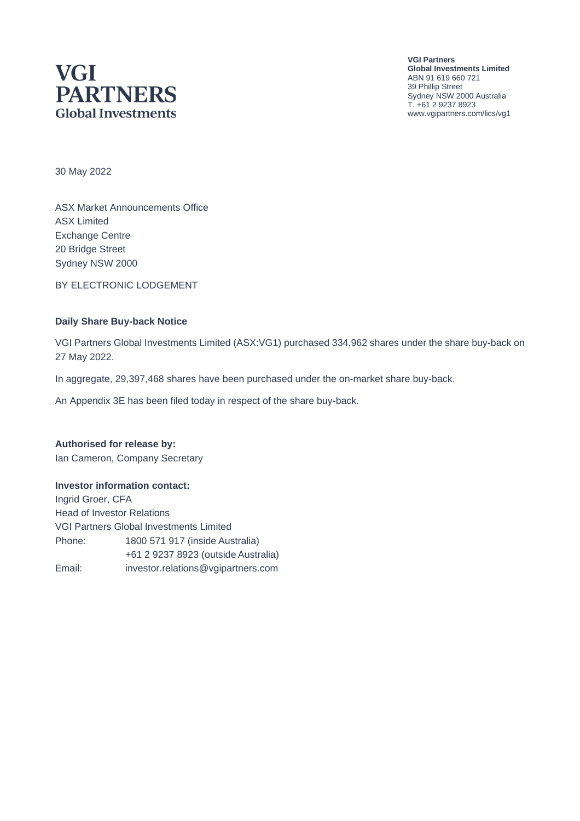# **VGI PARTNERS Global Investments**

**VGI Partners Global Investments Limited** ABN 91 619 660 721 39 Phillip Street Sydney NSW 2000 Australia T. +61 2 9237 8923 www.vgipartners.com/lics/vg1

30 May 2022

ASX Market Announcements Office ASX Limited Exchange Centre 20 Bridge Street Sydney NSW 2000

BY ELECTRONIC LODGEMENT

#### **Daily Share Buy-back Notice**

VGI Partners Global Investments Limited (ASX:VG1) purchased 334,962 shares under the share buy-back on 27 May 2022.

In aggregate, 29,397,468 shares have been purchased under the on-market share buy-back.

An Appendix 3E has been filed today in respect of the share buy-back.

#### **Authorised for release by:**

Ian Cameron, Company Secretary

#### **Investor information contact:**

Ingrid Groer, CFA Head of Investor Relations VGI Partners Global Investments Limited Phone: 1800 571 917 (inside Australia) +61 2 9237 8923 (outside Australia) Email: investor.relations@vgipartners.com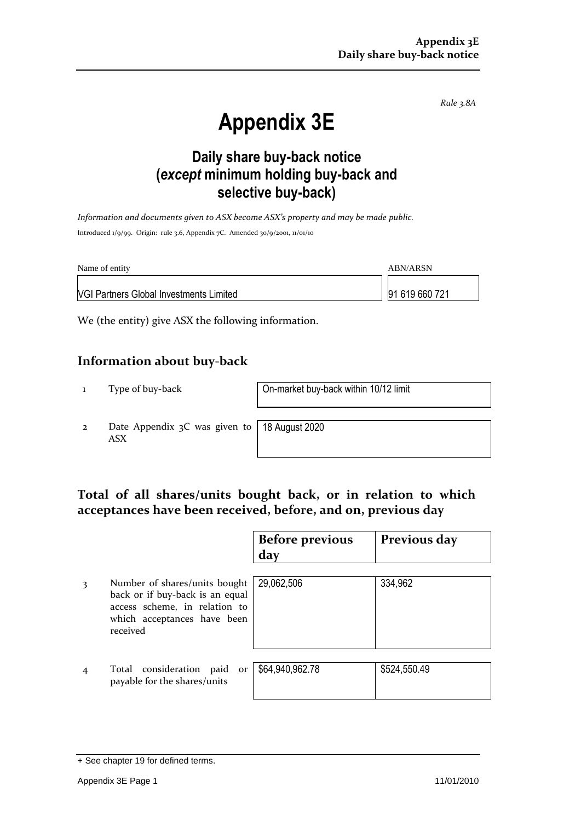*Rule 3.8A*

# **Appendix 3E**

## **Daily share buy-back notice (***except* **minimum holding buy-back and selective buy-back)**

*Information and documents given to ASX become ASX's property and may be made public.* Introduced 1/9/99. Origin: rule 3.6, Appendix 7C. Amended 30/9/2001, 11/01/10

| Name of entity                                 | ABN/ARSN       |
|------------------------------------------------|----------------|
| <b>VGI Partners Global Investments Limited</b> | 91 619 660 721 |

We (the entity) give ASX the following information.

#### **Information about buy-back**

1 Type of buy-back On-market buy-back within 10/12 limit

2 Date Appendix 3C was given to ASX

18 August 2020

#### **Total of all shares/units bought back, or in relation to which acceptances have been received, before, and on, previous day**

|   |                                                                                                                                              | <b>Before previous</b><br>day | Previous day |
|---|----------------------------------------------------------------------------------------------------------------------------------------------|-------------------------------|--------------|
| 3 | Number of shares/units bought<br>back or if buy-back is an equal<br>access scheme, in relation to<br>which acceptances have been<br>received | 29,062,506                    | 334,962      |
|   | Total consideration paid<br>or<br>payable for the shares/units                                                                               | \$64,940,962.78               | \$524,550.49 |

<sup>+</sup> See chapter 19 for defined terms.